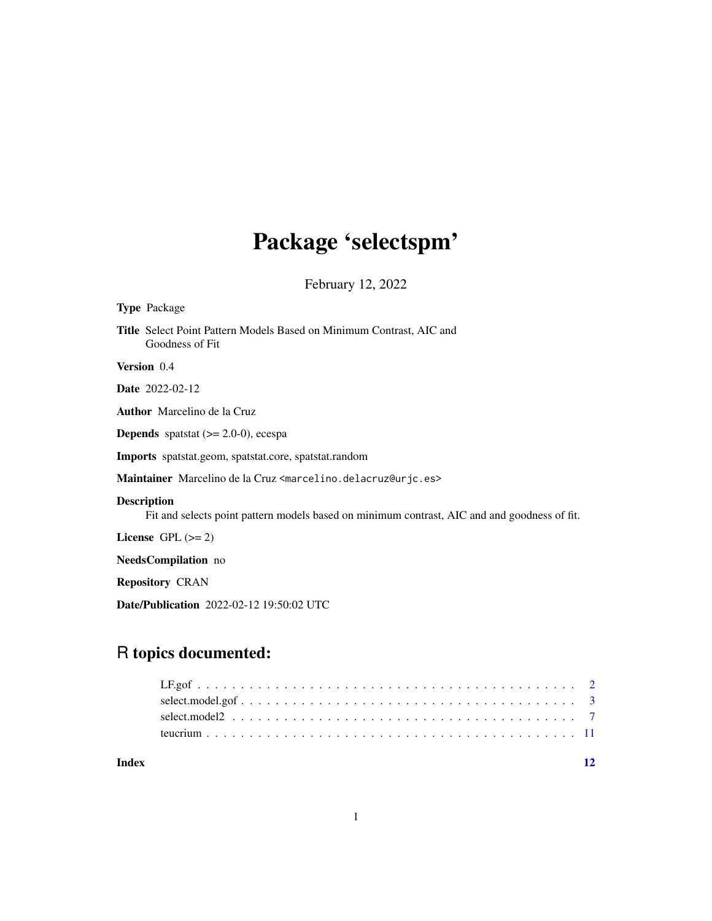## Package 'selectspm'

February 12, 2022

<span id="page-0-0"></span>

| <b>Type Package</b>                                                                                                |
|--------------------------------------------------------------------------------------------------------------------|
| <b>Title</b> Select Point Pattern Models Based on Minimum Contrast, AIC and<br>Goodness of Fit                     |
| Version 0.4                                                                                                        |
| <b>Date</b> 2022-02-12                                                                                             |
| <b>Author</b> Marcelino de la Cruz                                                                                 |
| <b>Depends</b> spatstat $(>= 2.0-0)$ , ecespa                                                                      |
| <b>Imports</b> spatstat.geom, spatstat.core, spatstat.random                                                       |
| Maintainer Marcelino de la Cruz <marcelino.delacruz@urjc.es></marcelino.delacruz@urjc.es>                          |
| <b>Description</b><br>Fit and selects point pattern models based on minimum contrast, AIC and and goodness of fit. |
| License $GPL (= 2)$                                                                                                |
| <b>NeedsCompilation</b> no                                                                                         |
| <b>Repository CRAN</b>                                                                                             |
| <b>Date/Publication</b> 2022-02-12 19:50:02 UTC                                                                    |

### R topics documented:

**Index** [12](#page-11-0)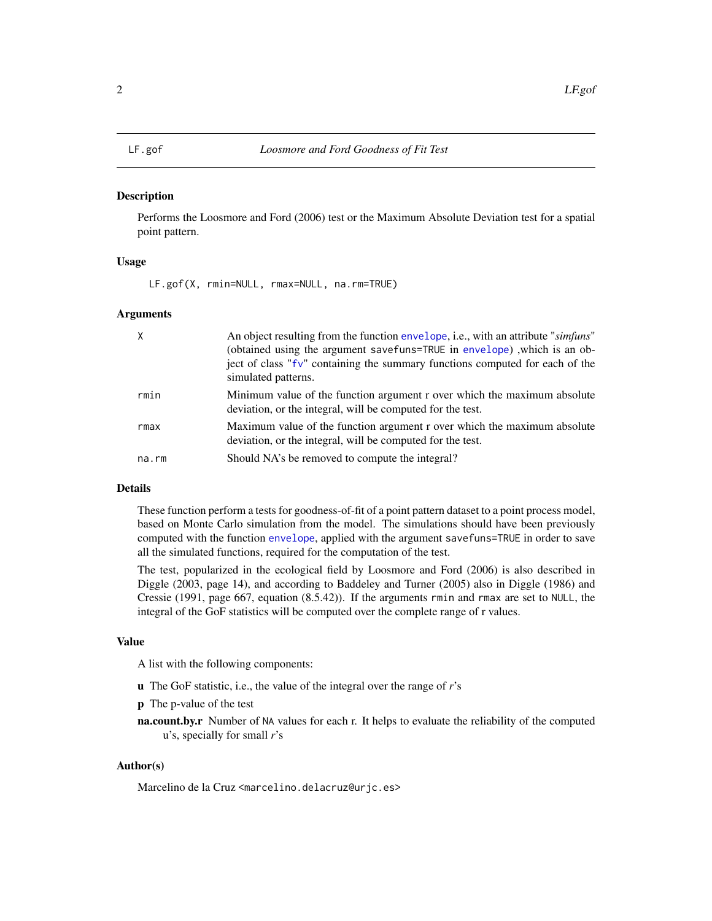#### <span id="page-1-1"></span><span id="page-1-0"></span>**Description**

Performs the Loosmore and Ford (2006) test or the Maximum Absolute Deviation test for a spatial point pattern.

#### Usage

LF.gof(X, rmin=NULL, rmax=NULL, na.rm=TRUE)

#### **Arguments**

| $\mathsf{X}$ | An object resulting from the function envelope, i.e., with an attribute "simfuns"<br>(obtained using the argument savefuns=TRUE in envelope), which is an ob-<br>ject of class "fv" containing the summary functions computed for each of the<br>simulated patterns. |
|--------------|----------------------------------------------------------------------------------------------------------------------------------------------------------------------------------------------------------------------------------------------------------------------|
| rmin         | Minimum value of the function argument r over which the maximum absolute<br>deviation, or the integral, will be computed for the test.                                                                                                                               |
| rmax         | Maximum value of the function argument r over which the maximum absolute<br>deviation, or the integral, will be computed for the test.                                                                                                                               |
| na.rm        | Should NA's be removed to compute the integral?                                                                                                                                                                                                                      |

#### Details

These function perform a tests for goodness-of-fit of a point pattern dataset to a point process model, based on Monte Carlo simulation from the model. The simulations should have been previously computed with the function [envelope](#page-0-0), applied with the argument savefuns=TRUE in order to save all the simulated functions, required for the computation of the test.

The test, popularized in the ecological field by Loosmore and Ford (2006) is also described in Diggle (2003, page 14), and according to Baddeley and Turner (2005) also in Diggle (1986) and Cressie (1991, page 667, equation (8.5.42)). If the arguments rmin and rmax are set to NULL, the integral of the GoF statistics will be computed over the complete range of r values.

#### Value

A list with the following components:

- u The GoF statistic, i.e., the value of the integral over the range of *r*'s
- p The p-value of the test
- na.count.by.r Number of NA values for each r. It helps to evaluate the reliability of the computed u's, specially for small *r*'s

#### Author(s)

Marcelino de la Cruz <marcelino.delacruz@urjc.es>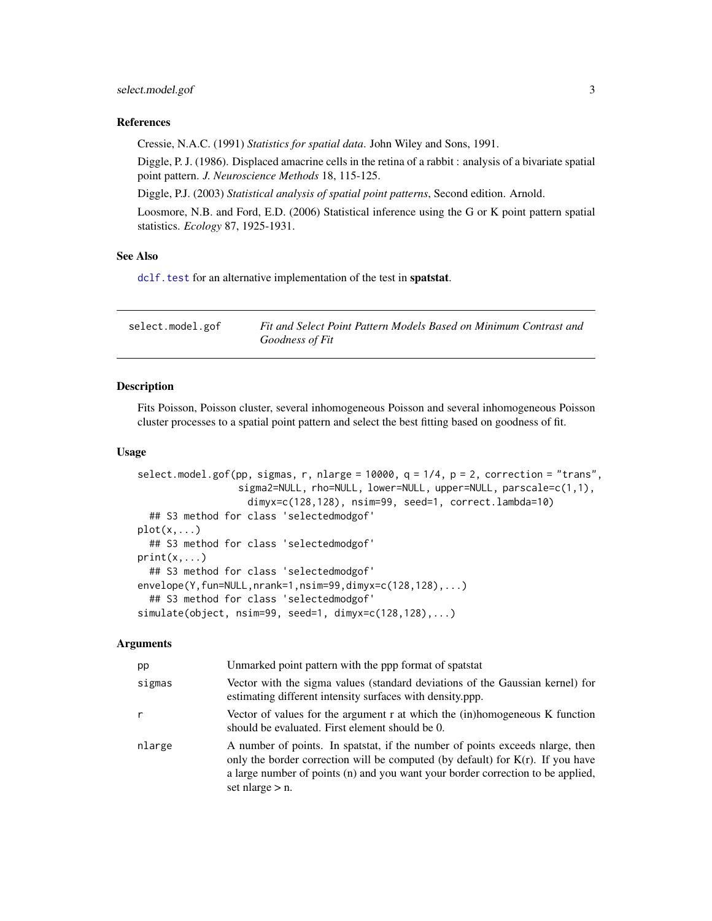#### <span id="page-2-0"></span>select.model.gof 3

#### References

Cressie, N.A.C. (1991) *Statistics for spatial data*. John Wiley and Sons, 1991.

Diggle, P. J. (1986). Displaced amacrine cells in the retina of a rabbit : analysis of a bivariate spatial point pattern. *J. Neuroscience Methods* 18, 115-125.

Diggle, P.J. (2003) *Statistical analysis of spatial point patterns*, Second edition. Arnold.

Loosmore, N.B. and Ford, E.D. (2006) Statistical inference using the G or K point pattern spatial statistics. *Ecology* 87, 1925-1931.

#### See Also

[dclf.test](#page-0-0) for an alternative implementation of the test in spatstat.

| select.model.gof | Fit and Select Point Pattern Models Based on Minimum Contrast and |
|------------------|-------------------------------------------------------------------|
|                  | Goodness of Fit                                                   |

#### **Description**

Fits Poisson, Poisson cluster, several inhomogeneous Poisson and several inhomogeneous Poisson cluster processes to a spatial point pattern and select the best fitting based on goodness of fit.

#### Usage

```
select.model.gof(pp, sigmas, r, nlarge = 10000, q = 1/4, p = 2, correction = "trans",
                 sigma2=NULL, rho=NULL, lower=NULL, upper=NULL, parscale=c(1,1),
                   dimyx=c(128,128), nsim=99, seed=1, correct.lambda=10)
  ## S3 method for class 'selectedmodgof'
plot(x,...)## S3 method for class 'selectedmodgof'
print(x, \ldots)## S3 method for class 'selectedmodgof'
envelope(Y,fun=NULL,nrank=1,nsim=99,dimyx=c(128,128),...)
  ## S3 method for class 'selectedmodgof'
simulate(object, nsim=99, seed=1, dimyx=c(128,128),...)
```
#### Arguments

| pp     | Unmarked point pattern with the ppp format of spatstat                                                                                                                                                                                                                     |
|--------|----------------------------------------------------------------------------------------------------------------------------------------------------------------------------------------------------------------------------------------------------------------------------|
| sigmas | Vector with the sigma values (standard deviations of the Gaussian kernel) for<br>estimating different intensity surfaces with density ppp.                                                                                                                                 |
| r      | Vector of values for the argument r at which the (in)homogeneous K function<br>should be evaluated. First element should be 0.                                                                                                                                             |
| nlarge | A number of points. In spatstat, if the number of points exceeds narge, then<br>only the border correction will be computed (by default) for $K(r)$ . If you have<br>a large number of points (n) and you want your border correction to be applied,<br>set nlarge $> n$ . |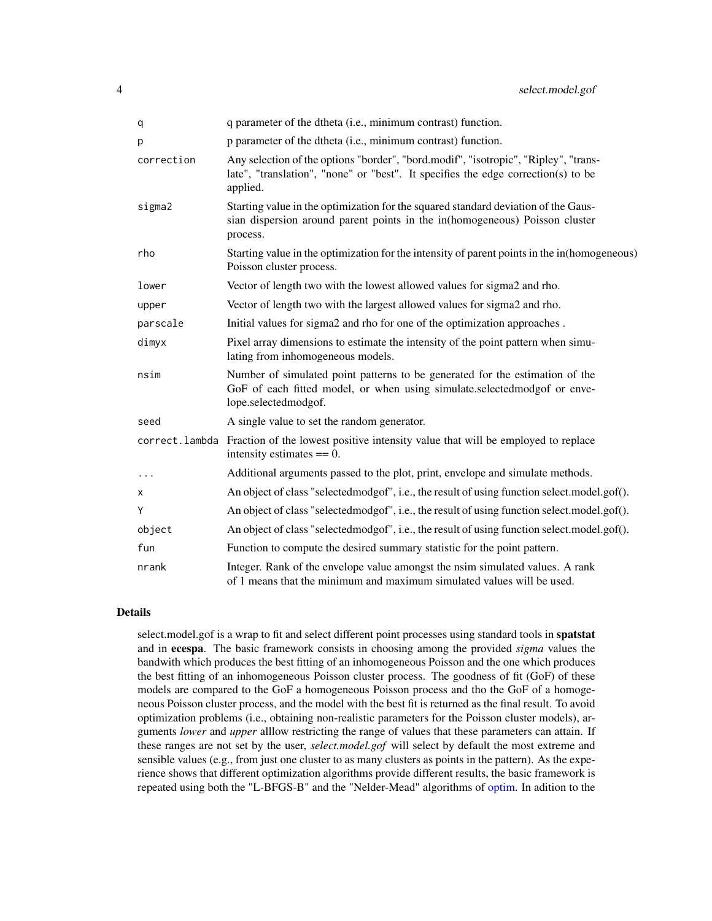<span id="page-3-0"></span>

| q          | q parameter of the dtheta (i.e., minimum contrast) function.                                                                                                                         |
|------------|--------------------------------------------------------------------------------------------------------------------------------------------------------------------------------------|
| р          | p parameter of the dtheta (i.e., minimum contrast) function.                                                                                                                         |
| correction | Any selection of the options "border", "bord.modif", "isotropic", "Ripley", "trans-<br>late", "translation", "none" or "best". It specifies the edge correction(s) to be<br>applied. |
| sigma2     | Starting value in the optimization for the squared standard deviation of the Gaus-<br>sian dispersion around parent points in the in(homogeneous) Poisson cluster<br>process.        |
| rho        | Starting value in the optimization for the intensity of parent points in the in(homogeneous)<br>Poisson cluster process.                                                             |
| lower      | Vector of length two with the lowest allowed values for sigma2 and rho.                                                                                                              |
| upper      | Vector of length two with the largest allowed values for sigma2 and rho.                                                                                                             |
| parscale   | Initial values for sigma2 and rho for one of the optimization approaches.                                                                                                            |
| dimyx      | Pixel array dimensions to estimate the intensity of the point pattern when simu-<br>lating from inhomogeneous models.                                                                |
| nsim       | Number of simulated point patterns to be generated for the estimation of the<br>GoF of each fitted model, or when using simulate.selectedmodgof or enve-<br>lope.selectedmodgof.     |
| seed       | A single value to set the random generator.                                                                                                                                          |
|            | correct. lambda Fraction of the lowest positive intensity value that will be employed to replace<br>intensity estimates $== 0$ .                                                     |
| $\cdots$   | Additional arguments passed to the plot, print, envelope and simulate methods.                                                                                                       |
| x          | An object of class "selected modgof", i.e., the result of using function select. model.gof().                                                                                        |
| Y          | An object of class "selected modgof", i.e., the result of using function select.model.gof().                                                                                         |
| object     | An object of class "selected modgof", i.e., the result of using function select.model.gof().                                                                                         |
| fun        | Function to compute the desired summary statistic for the point pattern.                                                                                                             |
| nrank      | Integer. Rank of the envelope value amongst the nsim simulated values. A rank<br>of 1 means that the minimum and maximum simulated values will be used.                              |

#### Details

select.model.gof is a wrap to fit and select different point processes using standard tools in spatstat and in ecespa. The basic framework consists in choosing among the provided *sigma* values the bandwith which produces the best fitting of an inhomogeneous Poisson and the one which produces the best fitting of an inhomogeneous Poisson cluster process. The goodness of fit (GoF) of these models are compared to the GoF a homogeneous Poisson process and tho the GoF of a homogeneous Poisson cluster process, and the model with the best fit is returned as the final result. To avoid optimization problems (i.e., obtaining non-realistic parameters for the Poisson cluster models), arguments *lower* and *upper* alllow restricting the range of values that these parameters can attain. If these ranges are not set by the user, *select.model.gof* will select by default the most extreme and sensible values (e.g., from just one cluster to as many clusters as points in the pattern). As the experience shows that different optimization algorithms provide different results, the basic framework is repeated using both the "L-BFGS-B" and the "Nelder-Mead" algorithms of [optim.](#page-0-0) In adition to the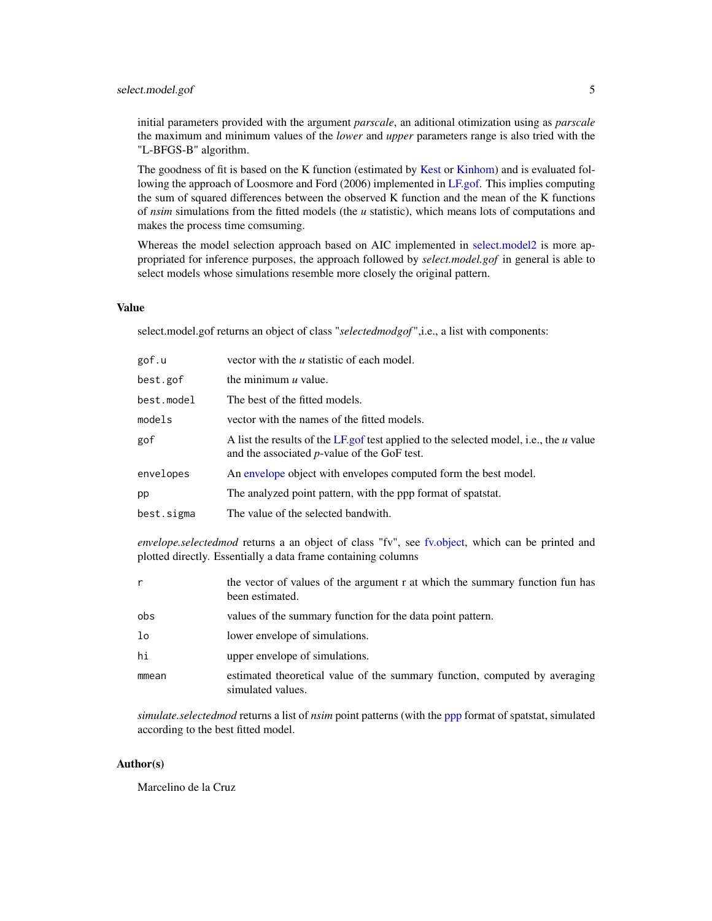<span id="page-4-0"></span>initial parameters provided with the argument *parscale*, an aditional otimization using as *parscale* the maximum and minimum values of the *lower* and *upper* parameters range is also tried with the "L-BFGS-B" algorithm.

The goodness of fit is based on the K function (estimated by [Kest](#page-0-0) or [Kinhom\)](#page-0-0) and is evaluated following the approach of Loosmore and Ford (2006) implemented in [LF.gof.](#page-1-1) This implies computing the sum of squared differences between the observed K function and the mean of the K functions of *nsim* simulations from the fitted models (the *u* statistic), which means lots of computations and makes the process time comsuming.

Whereas the model selection approach based on AIC implemented in [select.model2](#page-6-1) is more appropriated for inference purposes, the approach followed by *select.model.gof* in general is able to select models whose simulations resemble more closely the original pattern.

#### Value

select.model.gof returns an object of class "*selectedmodgof* ",i.e., a list with components:

| gof.u      | vector with the <i>u</i> statistic of each model.                                                                                        |
|------------|------------------------------------------------------------------------------------------------------------------------------------------|
| best.gof   | the minimum $u$ value.                                                                                                                   |
| best.model | The best of the fitted models.                                                                                                           |
| models     | vector with the names of the fitted models.                                                                                              |
| gof        | A list the results of the LF gof test applied to the selected model, i.e., the u value<br>and the associated $p$ -value of the GoF test. |
| envelopes  | An envelope object with envelopes computed form the best model.                                                                          |
| pp         | The analyzed point pattern, with the ppp format of spatstat.                                                                             |
| best.sigma | The value of the selected bandwith.                                                                                                      |

*envelope.selectedmod* returns a an object of class "fv", see [fv.object,](#page-0-0) which can be printed and plotted directly. Essentially a data frame containing columns

| r              | the vector of values of the argument r at which the summary function fun has<br>been estimated. |
|----------------|-------------------------------------------------------------------------------------------------|
| obs            | values of the summary function for the data point pattern.                                      |
| 1 <sub>o</sub> | lower envelope of simulations.                                                                  |
| hi             | upper envelope of simulations.                                                                  |
| mmean          | estimated theoretical value of the summary function, computed by averaging<br>simulated values. |

*simulate.selectedmod* returns a list of *nsim* point patterns (with the [ppp](#page-0-0) format of spatstat, simulated according to the best fitted model.

#### Author(s)

Marcelino de la Cruz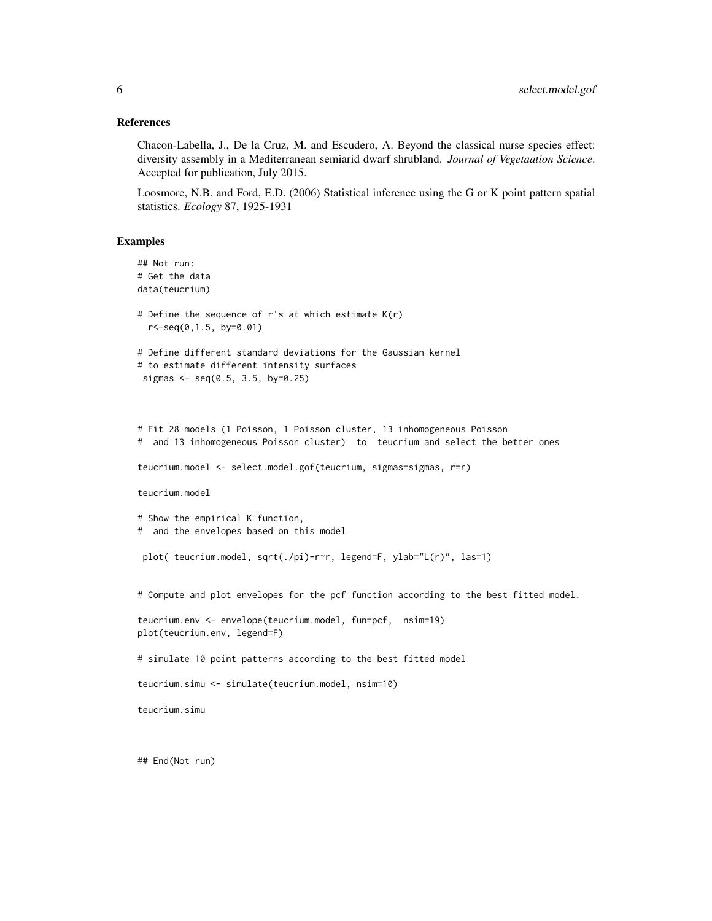#### References

Chacon-Labella, J., De la Cruz, M. and Escudero, A. Beyond the classical nurse species effect: diversity assembly in a Mediterranean semiarid dwarf shrubland. *Journal of Vegetaation Science*. Accepted for publication, July 2015.

Loosmore, N.B. and Ford, E.D. (2006) Statistical inference using the G or K point pattern spatial statistics. *Ecology* 87, 1925-1931

#### Examples

```
## Not run:
# Get the data
data(teucrium)
# Define the sequence of r's at which estimate K(r)
 r<-seq(0,1.5, by=0.01)
# Define different standard deviations for the Gaussian kernel
# to estimate different intensity surfaces
sigmas <- seq(0.5, 3.5, by=0.25)
# Fit 28 models (1 Poisson, 1 Poisson cluster, 13 inhomogeneous Poisson
# and 13 inhomogeneous Poisson cluster) to teucrium and select the better ones
teucrium.model <- select.model.gof(teucrium, sigmas=sigmas, r=r)
teucrium.model
# Show the empirical K function,
# and the envelopes based on this model
plot( teucrium.model, sqrt(./pi)-r~r, legend=F, ylab="L(r)", las=1)
# Compute and plot envelopes for the pcf function according to the best fitted model.
teucrium.env <- envelope(teucrium.model, fun=pcf, nsim=19)
plot(teucrium.env, legend=F)
# simulate 10 point patterns according to the best fitted model
teucrium.simu <- simulate(teucrium.model, nsim=10)
teucrium.simu
```
## End(Not run)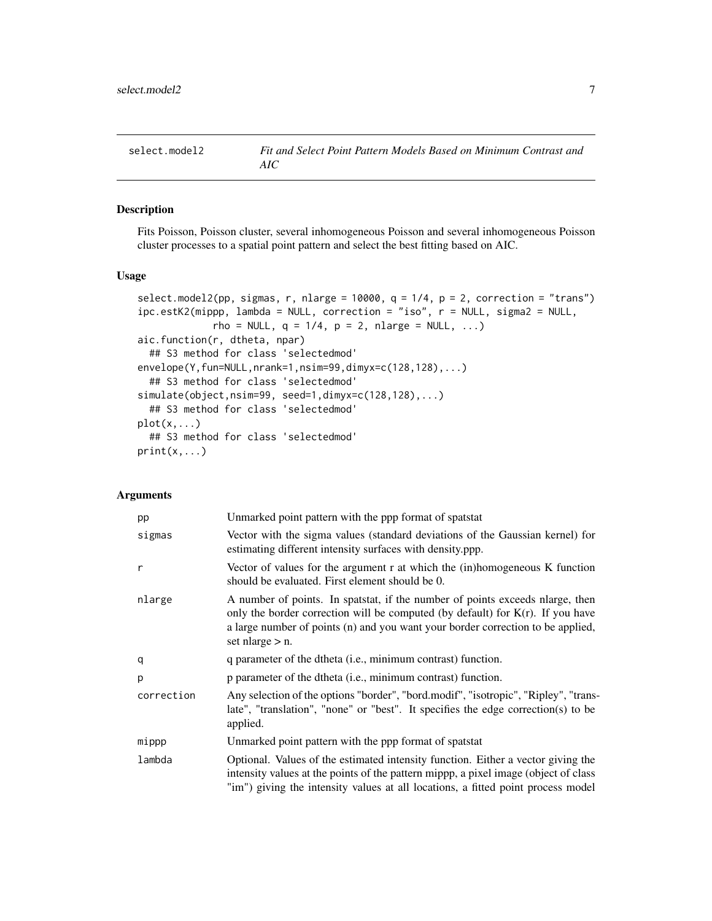<span id="page-6-1"></span><span id="page-6-0"></span>

#### Description

Fits Poisson, Poisson cluster, several inhomogeneous Poisson and several inhomogeneous Poisson cluster processes to a spatial point pattern and select the best fitting based on AIC.

#### Usage

```
select.model2(pp, sigmas, r, nlarge = 10000, q = 1/4, p = 2, correction = "trans")
ipc.estK2(mippp, lambda = NULL, correction = "iso", r = NULL, sigma2 = NULL,
             rho = NULL, q = 1/4, p = 2, nlarge = NULL, ...)
aic.function(r, dtheta, npar)
  ## S3 method for class 'selectedmod'
envelope(Y,fun=NULL,nrank=1,nsim=99,dimyx=c(128,128),...)
  ## S3 method for class 'selectedmod'
simulate(object,nsim=99, seed=1,dimyx=c(128,128),...)
  ## S3 method for class 'selectedmod'
plot(x, \ldots)## S3 method for class 'selectedmod'
print(x, \ldots)
```
#### Arguments

| pp         | Unmarked point pattern with the ppp format of spatstat                                                                                                                                                                                                                     |
|------------|----------------------------------------------------------------------------------------------------------------------------------------------------------------------------------------------------------------------------------------------------------------------------|
| sigmas     | Vector with the sigma values (standard deviations of the Gaussian kernel) for<br>estimating different intensity surfaces with density.ppp.                                                                                                                                 |
| r          | Vector of values for the argument r at which the (in)homogeneous K function<br>should be evaluated. First element should be 0.                                                                                                                                             |
| nlarge     | A number of points. In spatstat, if the number of points exceeds narge, then<br>only the border correction will be computed (by default) for $K(r)$ . If you have<br>a large number of points (n) and you want your border correction to be applied,<br>set nlarge $> n$ . |
| q          | q parameter of the dtheta (i.e., minimum contrast) function.                                                                                                                                                                                                               |
| р          | p parameter of the dtheta (i.e., minimum contrast) function.                                                                                                                                                                                                               |
| correction | Any selection of the options "border", "bord.modif", "isotropic", "Ripley", "trans-<br>late", "translation", "none" or "best". It specifies the edge correction(s) to be<br>applied.                                                                                       |
| mippp      | Unmarked point pattern with the ppp format of spatstat                                                                                                                                                                                                                     |
| lambda     | Optional. Values of the estimated intensity function. Either a vector giving the<br>intensity values at the points of the pattern mippp, a pixel image (object of class<br>"im") giving the intensity values at all locations, a fitted point process model                |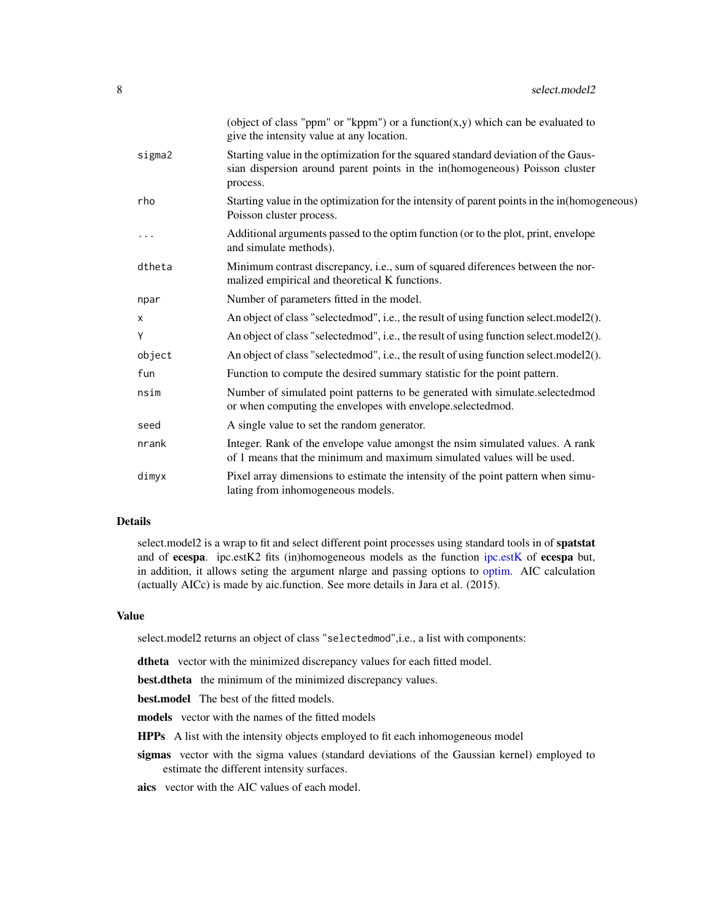<span id="page-7-0"></span>

|        | (object of class "ppm" or "kppm") or a function $(x, y)$ which can be evaluated to<br>give the intensity value at any location.                                               |
|--------|-------------------------------------------------------------------------------------------------------------------------------------------------------------------------------|
| sigma2 | Starting value in the optimization for the squared standard deviation of the Gaus-<br>sian dispersion around parent points in the in(homogeneous) Poisson cluster<br>process. |
| rho    | Starting value in the optimization for the intensity of parent points in the in(homogeneous)<br>Poisson cluster process.                                                      |
| .      | Additional arguments passed to the optim function (or to the plot, print, envelope<br>and simulate methods).                                                                  |
| dtheta | Minimum contrast discrepancy, i.e., sum of squared diferences between the nor-<br>malized empirical and theoretical K functions.                                              |
| npar   | Number of parameters fitted in the model.                                                                                                                                     |
| X      | An object of class "selected mod", i.e., the result of using function select.model2().                                                                                        |
| Υ      | An object of class "selected mod", i.e., the result of using function select.model2().                                                                                        |
| object | An object of class "selected mod", i.e., the result of using function select.model2().                                                                                        |
| fun    | Function to compute the desired summary statistic for the point pattern.                                                                                                      |
| nsim   | Number of simulated point patterns to be generated with simulate.selectedmod<br>or when computing the envelopes with envelope.selectedmod.                                    |
| seed   | A single value to set the random generator.                                                                                                                                   |
| nrank  | Integer. Rank of the envelope value amongst the nsim simulated values. A rank<br>of 1 means that the minimum and maximum simulated values will be used.                       |
| dimyx  | Pixel array dimensions to estimate the intensity of the point pattern when simu-<br>lating from inhomogeneous models.                                                         |

#### Details

select.model2 is a wrap to fit and select different point processes using standard tools in of **spatstat** and of ecespa. ipc.estK2 fits (in)homogeneous models as the function [ipc.estK](#page-0-0) of ecespa but, in addition, it allows seting the argument nlarge and passing options to [optim.](#page-0-0) AIC calculation (actually AICc) is made by aic.function. See more details in Jara et al. (2015).

#### Value

select.model2 returns an object of class "selectedmod",i.e., a list with components:

dtheta vector with the minimized discrepancy values for each fitted model.

best.dtheta the minimum of the minimized discrepancy values.

best.model The best of the fitted models.

models vector with the names of the fitted models

HPPs A list with the intensity objects employed to fit each inhomogeneous model

sigmas vector with the sigma values (standard deviations of the Gaussian kernel) employed to estimate the different intensity surfaces.

aics vector with the AIC values of each model.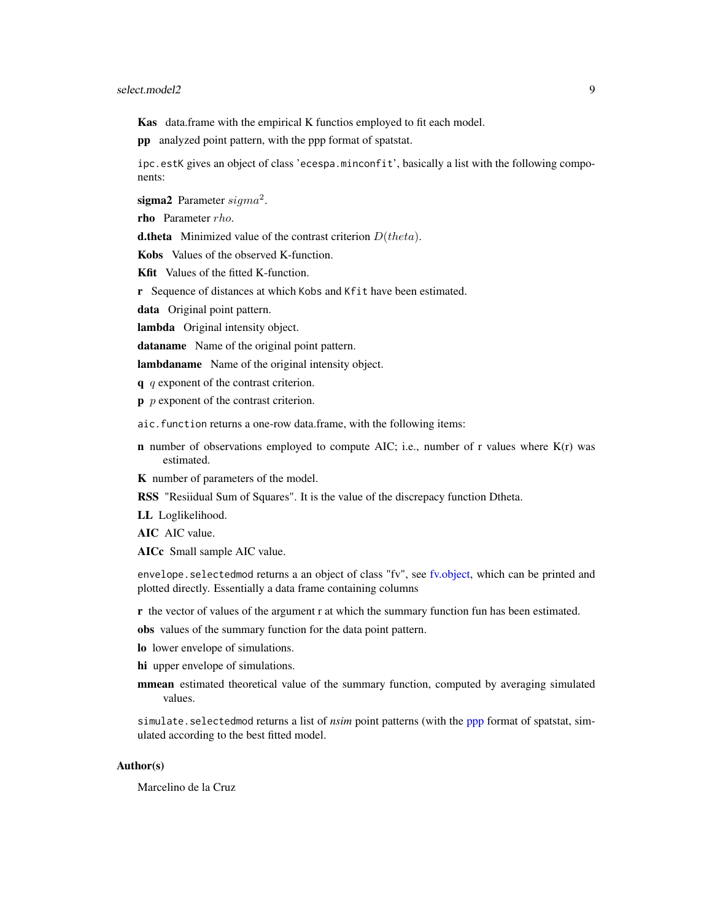#### <span id="page-8-0"></span>select.model2 9

Kas data.frame with the empirical K functios employed to fit each model.

pp analyzed point pattern, with the ppp format of spatstat.

ipc.estK gives an object of class 'ecespa.minconfit', basically a list with the following components:

sigma2 Parameter  $sigma^2$ .

rho Parameter rho.

**d.theta** Minimized value of the contrast criterion  $D(theta)$ .

Kobs Values of the observed K-function.

Kfit Values of the fitted K-function.

r Sequence of distances at which Kobs and Kfit have been estimated.

data Original point pattern.

lambda Original intensity object.

dataname Name of the original point pattern.

lambdaname Name of the original intensity object.

 $q$  q exponent of the contrast criterion.

 $\mathbf{p}$  *p* exponent of the contrast criterion.

aic.function returns a one-row data.frame, with the following items:

**n** number of observations employed to compute AIC; i.e., number of r values where  $K(r)$  was estimated.

K number of parameters of the model.

RSS "Resiidual Sum of Squares". It is the value of the discrepacy function Dtheta.

LL Loglikelihood.

AIC AIC value.

AICc Small sample AIC value.

envelope.selectedmod returns a an object of class "fv", see [fv.object,](#page-0-0) which can be printed and plotted directly. Essentially a data frame containing columns

r the vector of values of the argument r at which the summary function fun has been estimated.

obs values of the summary function for the data point pattern.

lo lower envelope of simulations.

hi upper envelope of simulations.

mmean estimated theoretical value of the summary function, computed by averaging simulated values.

simulate.selectedmod returns a list of *nsim* point patterns (with the [ppp](#page-0-0) format of spatstat, simulated according to the best fitted model.

#### Author(s)

Marcelino de la Cruz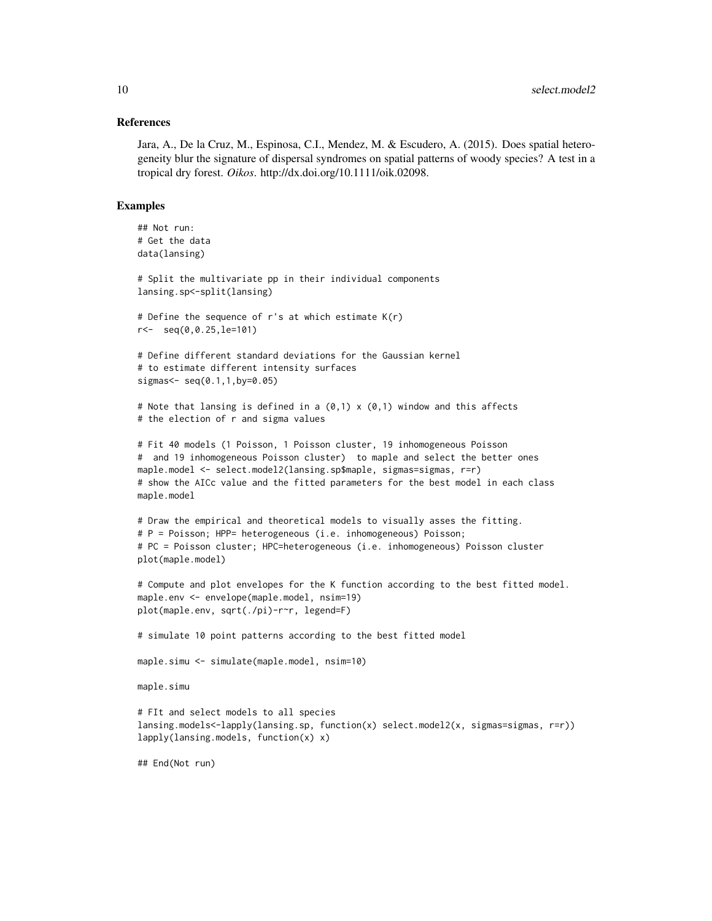#### References

Jara, A., De la Cruz, M., Espinosa, C.I., Mendez, M. & Escudero, A. (2015). Does spatial heterogeneity blur the signature of dispersal syndromes on spatial patterns of woody species? A test in a tropical dry forest. *Oikos*. http://dx.doi.org/10.1111/oik.02098.

#### Examples

```
## Not run:
# Get the data
data(lansing)
# Split the multivariate pp in their individual components
lansing.sp<-split(lansing)
# Define the sequence of r's at which estimate K(r)r<- seq(0,0.25,le=101)
# Define different standard deviations for the Gaussian kernel
# to estimate different intensity surfaces
signas < - seq(0.1, 1, by=0.05)# Note that lansing is defined in a (0,1) \times (0,1) window and this affects
# the election of r and sigma values
# Fit 40 models (1 Poisson, 1 Poisson cluster, 19 inhomogeneous Poisson
# and 19 inhomogeneous Poisson cluster) to maple and select the better ones
maple.model <- select.model2(lansing.sp$maple, sigmas=sigmas, r=r)
# show the AICc value and the fitted parameters for the best model in each class
maple.model
# Draw the empirical and theoretical models to visually asses the fitting.
# P = Poisson; HPP= heterogeneous (i.e. inhomogeneous) Poisson;
# PC = Poisson cluster; HPC=heterogeneous (i.e. inhomogeneous) Poisson cluster
plot(maple.model)
# Compute and plot envelopes for the K function according to the best fitted model.
maple.env <- envelope(maple.model, nsim=19)
plot(maple.env, sqrt(./pi)-r~r, legend=F)
# simulate 10 point patterns according to the best fitted model
maple.simu <- simulate(maple.model, nsim=10)
maple.simu
# FIt and select models to all species
lansing.models<-lapply(lansing.sp, function(x) select.model2(x, sigmas=sigmas, r=r))
lapply(lansing.models, function(x) x)
## End(Not run)
```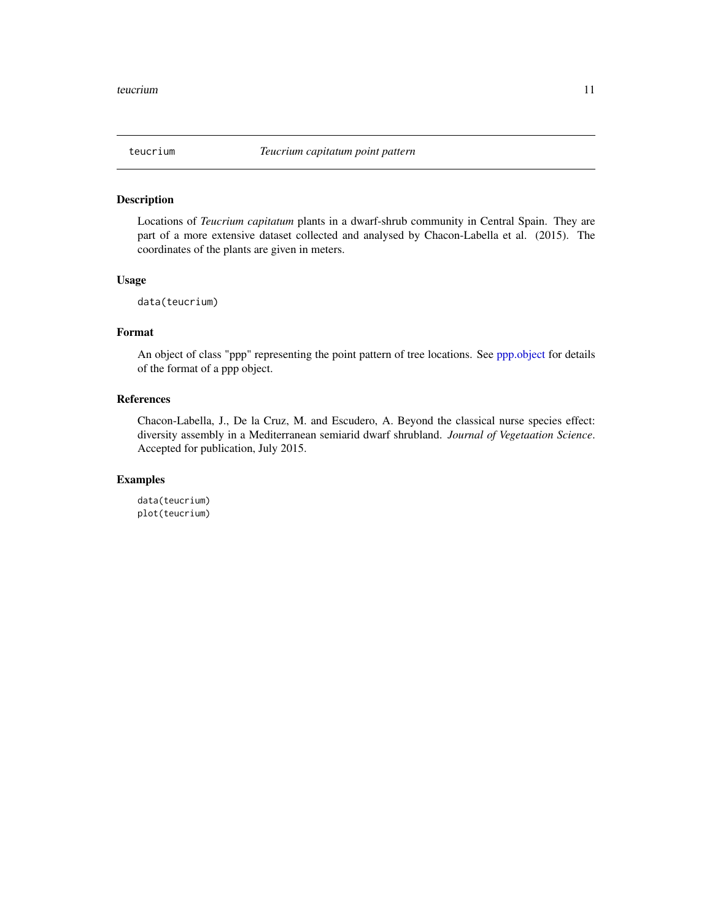<span id="page-10-0"></span>

#### Description

Locations of *Teucrium capitatum* plants in a dwarf-shrub community in Central Spain. They are part of a more extensive dataset collected and analysed by Chacon-Labella et al. (2015). The coordinates of the plants are given in meters.

#### Usage

```
data(teucrium)
```
### Format

An object of class "ppp" representing the point pattern of tree locations. See [ppp.object](#page-0-0) for details of the format of a ppp object.

#### References

Chacon-Labella, J., De la Cruz, M. and Escudero, A. Beyond the classical nurse species effect: diversity assembly in a Mediterranean semiarid dwarf shrubland. *Journal of Vegetaation Science*. Accepted for publication, July 2015.

#### Examples

data(teucrium) plot(teucrium)